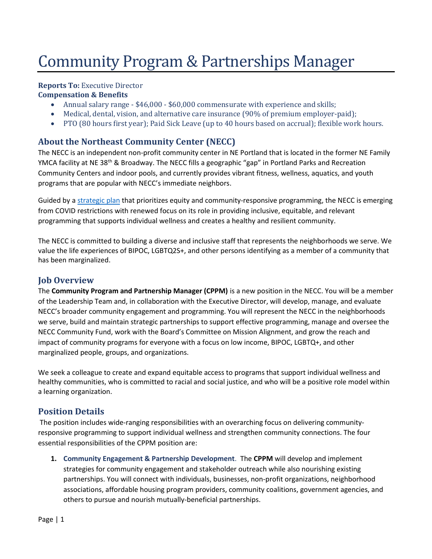# Community Program & Partnerships Manager

## Reports To: Executive Director

#### Compensation & Benefits

- Annual salary range \$46,000 \$60,000 commensurate with experience and skills;
- Medical, dental, vision, and alternative care insurance (90% of premium employer-paid);
- PTO (80 hours first year); Paid Sick Leave (up to 40 hours based on accrual); flexible work hours.

## About the Northeast Community Center (NECC)

The NECC is an independent non-profit community center in NE Portland that is located in the former NE Family YMCA facility at NE 38<sup>th</sup> & Broadway. The NECC fills a geographic "gap" in Portland Parks and Recreation Community Centers and indoor pools, and currently provides vibrant fitness, wellness, aquatics, and youth programs that are popular with NECC's immediate neighbors.

Guided by a [strategic plan](https://necommunitycenter.org/strategic-plan/) that prioritizes equity and community-responsive programming, the NECC is emerging from COVID restrictions with renewed focus on its role in providing inclusive, equitable, and relevant programming that supports individual wellness and creates a healthy and resilient community.

The NECC is committed to building a diverse and inclusive staff that represents the neighborhoods we serve. We value the life experiences of BIPOC, LGBTQ2S+, and other persons identifying as a member of a community that has been marginalized.

## **Job Overview**

The Community Program and Partnership Manager (CPPM) is a new position in the NECC. You will be a member of the Leadership Team and, in collaboration with the Executive Director, will develop, manage, and evaluate NECC's broader community engagement and programming. You will represent the NECC in the neighborhoods we serve, build and maintain strategic partnerships to support effective programming, manage and oversee the NECC Community Fund, work with the Board's Committee on Mission Alignment, and grow the reach and impact of community programs for everyone with a focus on low income, BIPOC, LGBTQ+, and other marginalized people, groups, and organizations.

We seek a colleague to create and expand equitable access to programs that support individual wellness and healthy communities, who is committed to racial and social justice, and who will be a positive role model within a learning organization.

# Position Details

 The position includes wide-ranging responsibilities with an overarching focus on delivering communityresponsive programming to support individual wellness and strengthen community connections. The four essential responsibilities of the CPPM position are:

1. Community Engagement & Partnership Development. The CPPM will develop and implement strategies for community engagement and stakeholder outreach while also nourishing existing partnerships. You will connect with individuals, businesses, non-profit organizations, neighborhood associations, affordable housing program providers, community coalitions, government agencies, and others to pursue and nourish mutually-beneficial partnerships.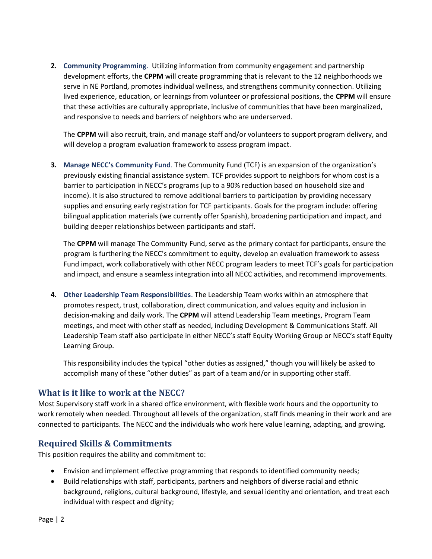2. Community Programming. Utilizing information from community engagement and partnership development efforts, the CPPM will create programming that is relevant to the 12 neighborhoods we serve in NE Portland, promotes individual wellness, and strengthens community connection. Utilizing lived experience, education, or learnings from volunteer or professional positions, the CPPM will ensure that these activities are culturally appropriate, inclusive of communities that have been marginalized, and responsive to needs and barriers of neighbors who are underserved.

The CPPM will also recruit, train, and manage staff and/or volunteers to support program delivery, and will develop a program evaluation framework to assess program impact.

3. Manage NECC's Community Fund. The Community Fund (TCF) is an expansion of the organization's previously existing financial assistance system. TCF provides support to neighbors for whom cost is a barrier to participation in NECC's programs (up to a 90% reduction based on household size and income). It is also structured to remove additional barriers to participation by providing necessary supplies and ensuring early registration for TCF participants. Goals for the program include: offering bilingual application materials (we currently offer Spanish), broadening participation and impact, and building deeper relationships between participants and staff.

The CPPM will manage The Community Fund, serve as the primary contact for participants, ensure the program is furthering the NECC's commitment to equity, develop an evaluation framework to assess Fund impact, work collaboratively with other NECC program leaders to meet TCF's goals for participation and impact, and ensure a seamless integration into all NECC activities, and recommend improvements.

4. Other Leadership Team Responsibilities. The Leadership Team works within an atmosphere that promotes respect, trust, collaboration, direct communication, and values equity and inclusion in decision-making and daily work. The CPPM will attend Leadership Team meetings, Program Team meetings, and meet with other staff as needed, including Development & Communications Staff. All Leadership Team staff also participate in either NECC's staff Equity Working Group or NECC's staff Equity Learning Group.

This responsibility includes the typical "other duties as assigned," though you will likely be asked to accomplish many of these "other duties" as part of a team and/or in supporting other staff.

## What is it like to work at the NECC?

Most Supervisory staff work in a shared office environment, with flexible work hours and the opportunity to work remotely when needed. Throughout all levels of the organization, staff finds meaning in their work and are connected to participants. The NECC and the individuals who work here value learning, adapting, and growing.

## Required Skills & Commitments

This position requires the ability and commitment to:

- Envision and implement effective programming that responds to identified community needs;
- Build relationships with staff, participants, partners and neighbors of diverse racial and ethnic background, religions, cultural background, lifestyle, and sexual identity and orientation, and treat each individual with respect and dignity;